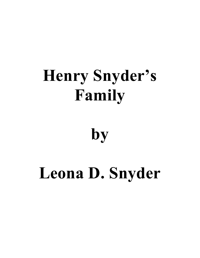# **Henry Snyder's Family**

### **by**

# **Leona D. Snyder**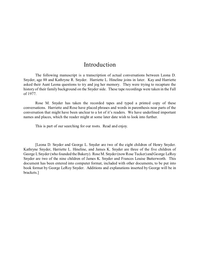#### Introduction

The following manuscript is a transcription of actual conversations between Leona D. Snyder, age 88 and Kathryne R. Snyder. Harriette L. Hineline joins in later. Kay and Harriette asked their Aunt Leona questions to try and jog her memory. They were trying to recapture the history of their family background on the Snyder side. These tape recordings were taken in the Fall of 1977.

Rose M. Snyder has taken the recorded tapes and typed a printed copy of these conversations. Harriette and Rose have placed phrases and words in parenthesis near parts of the conversation that might have been unclear to a lot of it's readers. We have underlined important names and places, which the reader might at some later date wish to look into further.

This is part of our searching for our roots. Read and enjoy.

[Leona D. Snyder and George L. Snyder are two of the eight children of Henry Snyder. Kathryne Snyder, Harriette L. Hineline, and James K. Snyder are three of the five children of George L Snyder (who founded the Bakery). Rose M. Snyder (now Rose Tucker) and George LeRoy Snyder are two of the nine children of James K. Snyder and Frances Louise Butterworth. This document has been entered into computer format, included with other documents, to be put into book format by George LeRoy Snyder. Additions and explanations inserted by George will be in brackets.]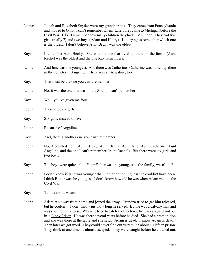| Leona: | Josiah and Elizabeth Snyder were my grandparents. They came from Pennsylvania<br>and moved to Ohio. I can't remember when. Later, they came to Michigan before the<br>Civil War. I don't remember how many children they had in Michigan. They had five<br>girls (really 7) and two boys (Adam and Henry). I'm trying to remember which one<br>is the oldest. I don't believe Aunt Becky was the oldest.                                                                                                                                                                                                                  |
|--------|---------------------------------------------------------------------------------------------------------------------------------------------------------------------------------------------------------------------------------------------------------------------------------------------------------------------------------------------------------------------------------------------------------------------------------------------------------------------------------------------------------------------------------------------------------------------------------------------------------------------------|
| Kay:   | I remember Aunt Becky. She was the one that lived up there on the farm. (Aunt<br>Rachel was the oldest and the one Kay remembers.)                                                                                                                                                                                                                                                                                                                                                                                                                                                                                        |
| Leona: | And Jane was the youngest. And there was Catherine. Catherine was buried up there<br>in the cemetery. Angaline! There was an Angaline, too.                                                                                                                                                                                                                                                                                                                                                                                                                                                                               |
| Kay:   | That must be the one you can't remember.                                                                                                                                                                                                                                                                                                                                                                                                                                                                                                                                                                                  |
| Leona: | No, it was the one that was in the South, I can't remember.                                                                                                                                                                                                                                                                                                                                                                                                                                                                                                                                                               |
| Kay:   | Well, you've given me four.                                                                                                                                                                                                                                                                                                                                                                                                                                                                                                                                                                                               |
| Leona: | There'd be six girls.                                                                                                                                                                                                                                                                                                                                                                                                                                                                                                                                                                                                     |
| Kay:   | Six girls, instead of five.                                                                                                                                                                                                                                                                                                                                                                                                                                                                                                                                                                                               |
| Leona: | Because of Angaline.                                                                                                                                                                                                                                                                                                                                                                                                                                                                                                                                                                                                      |
| Kay:   | And, there's another one you can't remember.                                                                                                                                                                                                                                                                                                                                                                                                                                                                                                                                                                              |
| Leona: | No, I counted her. Aunt Becky, Aunt Hanna, Aunt Jane, Aunt Catherine, Aunt<br>Angaline, and the one I can't remember (Aunt Rachel). But there were six girls and<br>two boys.                                                                                                                                                                                                                                                                                                                                                                                                                                             |
| Kay:   | The boys were quite split. Your Father was the youngest in the family, wasn't he?                                                                                                                                                                                                                                                                                                                                                                                                                                                                                                                                         |
| Leona: | I don't know if Jane was younger than Father or not. I guess she couldn't have been.<br>I think Father was the youngest. I don't know how old he was when Adam went to the<br>Civil War.                                                                                                                                                                                                                                                                                                                                                                                                                                  |
| Kay:   | Tell us about Adam.                                                                                                                                                                                                                                                                                                                                                                                                                                                                                                                                                                                                       |
| Leona: | Adam ran away from home and joined the army. Grandpa tried to get him released,<br>but he couldn't. I don't know just how long he served. But he was a calvary man and<br>was shot from his horse. When he tried to catch another horse he was captured and put<br>in a Libby Prison. He was there several years before he died. She had a premonition<br>and she was there at the table and she said, "Adam is dead. I know Adam is dead."<br>Then later we got word. They could never find out very much about his life in prison.<br>They think at one time he almost escaped. They were caught before he crawled out. |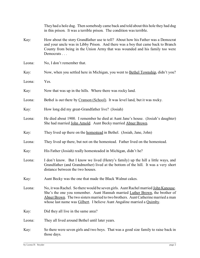|        | They had a hole dug. Then somebody came back and told about this hole they had dug<br>in this prison. It was a terrible prison. The condition was terrible.                                                                                                                                                                         |
|--------|-------------------------------------------------------------------------------------------------------------------------------------------------------------------------------------------------------------------------------------------------------------------------------------------------------------------------------------|
| Kay:   | How about the story Grandfather use to tell? About how his Father was a Democrat<br>and your uncle was in Libby Prison. And there was a boy that came back to Branch<br>County from being in the Union Army that was wounded and his family too were<br>Democrats                                                                   |
| Leona: | No, I don't remember that.                                                                                                                                                                                                                                                                                                          |
| Kay:   | Now, when you settled here in Michigan, you went to <b>Bethel Township</b> , didn't you?                                                                                                                                                                                                                                            |
| Leona: | Yes.                                                                                                                                                                                                                                                                                                                                |
| Kay:   | Now that was up in the hills. Where there was rocky land.                                                                                                                                                                                                                                                                           |
| Leona: | Bethel is out there by Cranson (School). It was level land, but it was rocky.                                                                                                                                                                                                                                                       |
| Kay:   | How long did my great-Grandfather live? (Josiah)                                                                                                                                                                                                                                                                                    |
| Leona: | He died about 1900. I remember he died at Aunt Jane's house. (Josiah's daughter)<br>She had married John Arnold. Aunt Becky married Abner Brown.                                                                                                                                                                                    |
| Kay:   | They lived up there on the homestead in Bethel. (Josiah, Jane, John)                                                                                                                                                                                                                                                                |
| Leona: | They lived up there, but not on the homestead. Father lived on the homestead.                                                                                                                                                                                                                                                       |
| Kay:   | His Father (Josiah) really homesteaded in Michigan, didn't he?                                                                                                                                                                                                                                                                      |
| Leona: | I don't know. But I know we lived (Henry's family) up the hill a little ways, and<br>Grandfather (and Grandmother) lived at the bottom of the hill. It was a very short<br>distance between the two houses.                                                                                                                         |
| Kay:   | Aunt Becky was the one that made the Black Walnut cakes.                                                                                                                                                                                                                                                                            |
| Leona: | No, it was Rachel. So there would be seven girls. Aunt Rachel married John Kanouse.<br>She's the one you remember. Aunt Hannah married Luther Brown, the brother of<br>Abner Brown. The two sisters married to two brothers. Aunt Catherine married a man<br>whose last name was Gilbert. I believe Aunt Angaline married a Quimby. |
| Kay:   | Did they all live in the same area?                                                                                                                                                                                                                                                                                                 |
| Leona: | They all lived around Bethel until later years.                                                                                                                                                                                                                                                                                     |
| Kay:   | So there were seven girls and two boys. That was a good size family to raise back in<br>those days.                                                                                                                                                                                                                                 |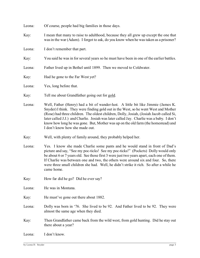| Leona: | Of course, people had big families in those days.                                                                                                                                                                                                                                                                                                                                                                                                                                      |
|--------|----------------------------------------------------------------------------------------------------------------------------------------------------------------------------------------------------------------------------------------------------------------------------------------------------------------------------------------------------------------------------------------------------------------------------------------------------------------------------------------|
| Kay:   | I mean that many to raise to adulthood, because they all grew up except the one that<br>was in the war (Adam). I forgot to ask, do you know when he was taken as a prisoner?                                                                                                                                                                                                                                                                                                           |
| Leona: | I don't remember that part.                                                                                                                                                                                                                                                                                                                                                                                                                                                            |
| Kay:   | You said he was in for several years so he must have been in one of the earlier battles.                                                                                                                                                                                                                                                                                                                                                                                               |
| Leona: | Father lived up in Bethel until 1899. Then we moved to Coldwater.                                                                                                                                                                                                                                                                                                                                                                                                                      |
| Kay:   | Had he gone to the Far West yet?                                                                                                                                                                                                                                                                                                                                                                                                                                                       |
| Leona: | Yes, long before that.                                                                                                                                                                                                                                                                                                                                                                                                                                                                 |
| Kay:   | Tell me about Grandfather going out for gold.                                                                                                                                                                                                                                                                                                                                                                                                                                          |
| Leona: | Well, Father (Henry) had a bit of wander-lust. A little bit like Jimmie (James K.<br>Snyder) I think. They were finding gold out in the West, so he went West and Mother<br>(Rose) had three children. The oldest children, Dolly, Josiah, (Josiah Jacob called Si,<br>later called J.J.) and Charlie. Josiah was later called Jay. Charlie was a baby. I don't<br>know how long he was gone. But, Mother was up on the old farm (the homestead) and<br>I don't know how she made out. |
| Kay:   | Well, with plenty of family around, they probably helped her.                                                                                                                                                                                                                                                                                                                                                                                                                          |
| Leona: | Yes. I know she made Charlie some pants and he would stand in front of Dad's<br>picture and say, "See my poc-ticks! See my poc-ticks!" (Pockets) Dolly would only<br>be about 6 or 7 years old. See those first 3 were just two years apart, each one of them.<br>If Charlie was between one and two, the others were around six and four. So, there<br>were three small children she had. Well, he didn't strike it rich. So after a while he<br>came home.                           |
| Kay:   | How far did he go? Did he ever say?                                                                                                                                                                                                                                                                                                                                                                                                                                                    |
| Leona: | He was in Montana.                                                                                                                                                                                                                                                                                                                                                                                                                                                                     |
| Kay:   | He must've gone out there about 1882.                                                                                                                                                                                                                                                                                                                                                                                                                                                  |
| Leona: | Dolly was born in '76. She lived to be 92. And Father lived to be 92. They were<br>almost the same age when they died.                                                                                                                                                                                                                                                                                                                                                                 |
| Kay:   | Then Grandfather came back from the wild west, from gold hunting. Did he stay out<br>there about a year?                                                                                                                                                                                                                                                                                                                                                                               |
| Leona: | I don't know.                                                                                                                                                                                                                                                                                                                                                                                                                                                                          |
|        |                                                                                                                                                                                                                                                                                                                                                                                                                                                                                        |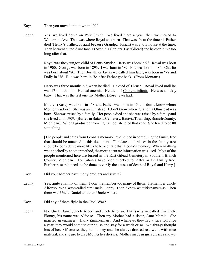- Kay: Then you moved into town in '99?
- Leona: Yes, we lived down on Polk Street. We lived there a year, then we moved to Waterman Ave. That was where Royal was born. That was about the time his Father died (Henry's Father, Josiah) because Grandpa (Josiah) was at our house at the time. Then he went out to Aunt Jane's (Arnold's Corners, East Gilead) and he didn't live too long after that.

Royal was the youngest child of Henry Snyder. Harry was born in 98. Royal was born in 1900. George was born in 1893. I was born in '89. Ella was born in '84. Charlie was born about '80. Then Josiah, or Jay as we called him later, was born in '78 and Dolly in '76. Ella was born in '84 after Father got back. (From Montana)

Harry was three months old when he died. He died of Thrush. Royal lived until he was 17 months old. He had anemia. He died of Cholera-infanta. He was a sickly baby. That was the last one my Mother (Rose) ever had.

Mother (Rose) was born in '58 and Father was born in '54. I don't know where Mother was born. She was an Olmstead. I don't know where Grandma Olmstead was born. She was raised by a family. Her people died and she was raised by a family and she lived until 1909. (Buried in Batavia Cemetery, Batavia Township, Branch County, Michigan.) When I graduated from high school she died that year. She lived to be 80 something.

[The people and dates from Leona's memory have helped in compiling the family tree that should be attached to this document. The dates and places in the family tree should be considered more likely to be accurate than Leona's memory. When anything was checked by another method, the more accurate information was used. Most of the people mentioned here are buried in the East Gilead Cemetery in Southern Branch County, Michigan. Tombstones have been checked for dates in the family tree. Further research needs to be done to verify the causes of death of Royal and Harry.]

- Kay: Did your Mother have many brothers and sisters?
- Leona: Yes, quite a family of them. I don't remember too many of them. I remember Uncle Alfonso. We always called him Uncle Flonny. I don't know what his name was. Then there was Uncle Daniel and then Uncle Albert.
- Kay: Did any of them fight in the Civil War?
- Leona: No. Uncle Daniel, Uncle Albert, and Uncle Alfonso. That's why we called him Uncle Flonny, his name was Alfonso. Then my Mother had a sister, Aunt Mamie. She married an engineer. (Harry Zimmerman). And whenever they had a vacation once a year, they would come to our house and stay for a week or so. We always thought lots of her. Of course, they had money and she always dressed real well, with nice material, and she use to give Mother her dresses. Mother made us girls dresses and we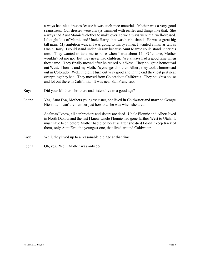always had nice dresses 'cause it was such nice material. Mother was a very good seamstress. Our dresses were always trimmed with ruffles and things like that. She always had Aunt Mamie's clothes to make over, so we always were real well-dressed. I thought lots of Mamie and Uncle Harry, that was her husband. He was a great big tall man. My ambition was, if I was going to marry a man, I wanted a man as tall as Uncle Harry. I could stand under his arm because Aunt Mamie could stand under his arm. They wanted to take me to raise when I was about 14. Of course, Mother wouldn't let me go. But they never had children. We always had a good time when they came. They finally moved after he retired out West. They bought a homestead out West. Then he and my Mother's youngest brother, Albert, they took a homestead out in Colorado. Well, it didn't turn out very good and in the end they lost pert near everything they had. They moved from Colorado to California. They bought a house and lot out there in California. It was near San Francisco.

- Kay: Did your Mother's brothers and sisters live to a good age?
- Leona: Yes, Aunt Eva, Mothers youngest sister, she lived in Coldwater and married George Hiesrodt. I can't remember just how old she was when she died.

As far as I know, all her brothers and sisters are dead. Uncle Flonnie and Albert lived in North Dakota and the last I knew Uncle Flonnie had gone farther West to Utah. It must have been before Mother had died because after she died I didn't keep track of them, only Aunt Eva, the youngest one, that lived around Coldwater.

- Kay: Well, they lived up to a reasonable old age at that time.
- Leona: Oh, yes. Well, Mother was only 56.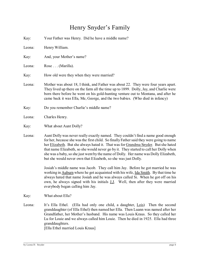### Henry Snyder's Family

| Kay:   | Your Father was Henry. Did he have a middle name?                                                                                                                                                                                                                                                                                                                                                                                                                                                                     |
|--------|-----------------------------------------------------------------------------------------------------------------------------------------------------------------------------------------------------------------------------------------------------------------------------------------------------------------------------------------------------------------------------------------------------------------------------------------------------------------------------------------------------------------------|
| Leona: | Henry William.                                                                                                                                                                                                                                                                                                                                                                                                                                                                                                        |
| Kay:   | And, your Mother's name?                                                                                                                                                                                                                                                                                                                                                                                                                                                                                              |
| Leona: | Rose (Marilla).                                                                                                                                                                                                                                                                                                                                                                                                                                                                                                       |
| Kay:   | How old were they when they were married?                                                                                                                                                                                                                                                                                                                                                                                                                                                                             |
| Leona: | Mother was about 18, I think, and Father was about 22. They were four years apart.<br>They lived up there on the farm all the time up to 1899. Dolly, Jay, and Charlie were<br>born there before he went on his gold-hunting venture out to Montana, and after he<br>came back it was Ella, Me, George, and the two babies. (Who died in infancy)                                                                                                                                                                     |
| Kay:   | Do you remember Charlie's middle name?                                                                                                                                                                                                                                                                                                                                                                                                                                                                                |
| Leona: | Charles Henry.                                                                                                                                                                                                                                                                                                                                                                                                                                                                                                        |
| Kay:   | What about Aunt Dolly?                                                                                                                                                                                                                                                                                                                                                                                                                                                                                                |
| Leona: | Aunt Dolly was never really exactly named. They couldn't find a name good enough<br>for her, because she was the first child. So finally Father said they were going to name<br>her Elizabeth. But she always hated it. That was for Grandma Snyder. But she hated<br>that name Elizabeth, so she would never go by it. They started to call her Dolly when<br>she was a baby, so she just went by the name of Dolly. Her name was Dolly Elizabeth,<br>but she would never own that Elizabeth, so she was just Dolly. |
|        | Josiah's middle name was Jacob. They call him Jay. Before he got married he was<br>working in Auburn where he got acquainted with his wife, Ida Smith. By that time he<br>always hated that name Josiah and he was always called Si. When he got off on his<br>own, he always signed with his initials <b>J.J</b> . Well, then after they were married<br>everybody began calling him Jay.                                                                                                                            |
| Kay:   | What about Ella?                                                                                                                                                                                                                                                                                                                                                                                                                                                                                                      |
| Leona: | (Ella had only one child, a daughter, Lois) Then the second<br>It's Ella Ethel.<br>granddaughter (of Ella Ethel) then named her Ella. Then Luann was named after her<br>Grandfather, her Mother's husband. His name was Louis Kraus. So they called her<br>Lu for Louie and we always called him Louie. Then he died in 1925. Ella had three<br>granddaughters.<br>[Ella Ethel married Louis Kraus]                                                                                                                   |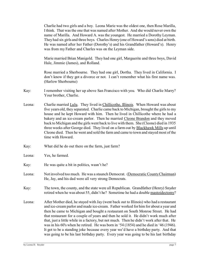Charlie had two girls and a boy. Leona Marie was the oldest one, then Rose Marilla, I think. That was the one that was named after Mother. And she would never own the name of Marilla. And Howard A. was the youngest. He married a Dorothy Leyman. They had six girls and three boys. Charles Henry (one of Howard's sons) died at birth. He was named after her Father (Dorothy's) and his Grandfather (Howard's). Henry was from my Father and Charles was on the Leyman side.

Marie married Brian Manigold. They had one girl, Marguerite and three boys, David Hale, Jimmie (James), and Rolland.

Rose married a Sherbourne. They had one girl, Dortha. They lived in California. I don't know if they got a divorce or not. I can't remember what his first name was. (Harlow Sherbourne)

- Kay: I remember visiting her up above San Francisco with you. Who did Charlie Marry? Your brother, Charlie.
- Leona: Charlie married Lulu. They lived in Chillicothe, Illinois. When Howard was about five years old, they separated. Charlie came back to Michigan, brought the girls to my house and he kept Howard with him. Then he lived in Chillicothe where he had a bakery and an ice-cream parlor. Then he married Cleone Brandon and they moved back to Michigan and the girls went back to live with them. She (Cleone) died in 1935 three weeks after George died. They lived on a farm out by Blackhawk Mills up until Cleone died. Then he went and sold the farm and came to town and stayed most of the time with Howard.
- Kay: What did he do out there on the farm, just farm?
- Leona: Yes, he farmed.
- Kay: He was quite a bit in politics, wasn't he?
- Leona: Not involved too much. He was a staunch Democrat. (Democratic County Chairman) He, Jay, and his dad were all very strong Democrats.
- Kay: The town, the county, and the state were all Republican. Grandfather (Henry) Snyder retired when he was about 55, didn't he? Sometime he had a double mastoidectomy?
- Leona: After Mother died, he stayed with Jay (went back out to Illinois) who had a restaurant and ice-cream parlor and made ice-cream. Father worked for him for about a year and then he came to Michigan and bought a restaurant on South Monroe Street. He had that restaurant for a couple of years and then he sold it. He didn't work much after that, just a little while in a factory, but not much. Then he didn't work after that. He was in his 60's when he retired. He was born in '54 (1854) and he died in '46 (1946). It got to be a standing joke because every year we'd have a birthday party. And that was going to be his last birthday party. Every year was going to be his last birthday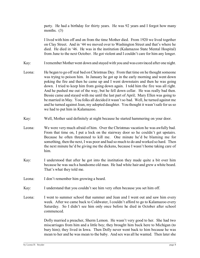party. He had a birthday for thirty years. He was 92 years and I forgot how many months. (3)

I lived with him off and on from the time Mother died. From 1920 we lived together on Clay Street. And in '44 we moved over to Washington Street and that's where he died. He died in '46. He was in the institution (Kalamazoo State Mental Hospital) from June to the next October. He got violent and I couldn't care for him any longer.

- Kay: I remember Mother went down and stayed with you and was convinced after one night.
- Leona: He began to go off real bad on Christmas Day. From that time on he thought someone was trying to poison him. In January he got up in the early morning and went down poking the fire and then he came up and I went downstairs and then he was going down. I tried to keep him from going down again. I told him the fire was all right. And he pushed me out of the way, but he fell down cellar. He was really bad then. Bessie came and stayed with me until the last part of April; Mary Ellen was going to be married in May. You folks all decided it wasn't so bad. Well, he turned against me and he turned against Jean, my adopted daughter. You thought it wasn't safe for us so we had to put him in Kalamazoo.
- Kay: Well, Mother said definitely at night because he started hammering on your door.
- Leona: We were very much afraid of him. Over the Christmas vacation he was awfully bad. From that time on, I put a lock on the stairway door so he couldn't get upstairs. Because he often threatened to kill me. One minute he'd be blaming me for something, then the next, I was poor and had so much to do and worked so hard. Then the next minute he'd be giving me the dickens, because I wasn't home taking care of him.
- Kay: I understood that after he got into the institution they made quite a bit over him because he was such a handsome old man. He had white hair and grew a white beard. That's what they told me.
- Leona: I don't remember him growing a beard.
- Kay: I understand that you couldn't see him very often because you set him off.
- Leona: I went to summer school that summer and Jean and I went out and saw him every week. After we came back to Coldwater, I couldn't afford to go to Kalamazoo every Saturday. So I didn't see him only once before he died in October after school commenced.

Dolly married a preacher, Sherm Lemon. He wasn't very good to her. She had two miscarriages from him and a little boy; they brought him back here to Michigan (to bury him); they lived in Iowa. Then Dolly never went back to him because he was mean to her and he was mean to the baby. And sex was all he wanted. Then later she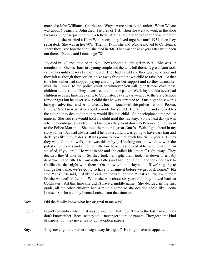married a John Williams. Charles and Wayne were born to this union. When Wayne was about 6 years old, John died. He died of T.B. Then she went to work in the shoe factory and got acquainted with a fellow. After about a year to a year and a half after John died, she married a Herb Wilkinson; they lived together until 1951, then they separated. She was in her 70's. Then in 1955, she and Wayne moved to California. There they lived together until she died in '68. That was the next year after we'd been out there. (Bessie and Leona, age 78)

Jay died in '43 and Ida died in '69. They adopted a little girl in 1920. She was 19 months old. She was born to a young couple and the wife left them. A great Aunt took care of her until she was 19 months old. They had a child and they were very poor and they felt as though they couldn't take away from their own child to raise her. At that time her Father had stopped paying anything for her support and so they turned her over (in Illinois) to the police court or whatever you call it, that took over these children at that time. They advertised them in the paper. Well, Jay and Ida never had children so every time they came to Coldwater, Jay always went up to the State School (orphanage) but he never saw a child that he was attracted to. One night he saw this baby girl advertised and he had already been in touch with this police matron in Peoria, Illinois. She knew what he could provide for a child. He ran home and showed Ida the ad and they decided that they would like this child. So he telephoned the police matron. She said she would hold the child until the next day. So the next day (it was when he could get away from his business) they went down to Peoria and they went to the Police Matron. She took them to this great Aunt's. Wait, I got ahead in my story a little. Jay had always said if he took a child it was going to have dark hair and dark eyes like the Snyder's. It was going to look that much like the Snyder's. But as they walked up the walk, here was this baby girl looking out the window with the palest of blue eyes and a regular little tow head. Jay looked at her and he said, "I'm satisfied, if you are." He went inside and she called Ida "mama" right away. They decided they'd take her. So they took her right then, took her down to a baby department and fitted her out with clothes and had her hair cut and took her back to Chillicothe that night with them. On the way home, Jay said, "If we're going to change her name, we're going to have to change it before we get back home." Ida said, "Yes." He said, "I'd like to call her Leona." Ida said, "That's all right with me." So she was called Leona. When she was about six years old, they moved back to Coldwater. All this time she didn't have a middle name. She decided in the first grade, all the other children had a middle name so she decided she'd like Leona Louise. So she went by Leona Louise from that time on.

- Kay: Did the family know what her original name was?
- Leona: I can't remember whether it was Iola or not. But I don't know the last name. They don't know either. Because they could never get adoption papers. They got some kind of papers, but they never really got adoption papers.
- Kay: They never got the Father to sign away his rights? He might have disappeared.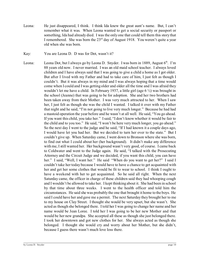- Leona: He just disappeared, I think. I think Ida knew the great aunt's name. But, I can't remember what it was. When Leona wanted to get a social security or passport or something, Ida had already died. I was the only one that could tell them this story that I remembered. She was born the  $23<sup>rd</sup>$  day of August 1918. You weren't quite a year old when she was born.
- Kay: You are Leona D. D was for Dot, wasn't it?
- Leona: Leona Dot, but I always go by Leona D. Snyder. I was born in 1889, August  $6<sup>th</sup>$ . I'm 88 years old now. I never married. I was an old maid school teacher. I always loved children and I have always said that I was going to give a child a home as I got older. But after I lived with my Father and had to take care of him, I just felt as though I couldn't. But it was always in my mind and I was always hoping that a time would come when I could and I was getting older and older all the time and I was afraid they wouldn't let me have a child. In February 1937, a little girl (age 6 ½) was brought in the school (Jeanne) that was going to be for adoption. She and her two brothers had been taken away from their Mother. I was very much attracted to her. When I saw her, I just felt as though she was the child I wanted. I talked it over with my Father that night and he said, "I'm not going to live very much longer." Because he had had a mastoid operation the year before and he wasn't at all well. He said, "You go ahead. If you want this child, you take her." I said, "I don't know whether it would be fair to the child and to you too." He said, "I won't be here very much longer, you go ahead." So the next day I went to the judge and he said, "If I had known it a couple days ago, I would have let you had her. But we decided to turn her over to the state." But I couldn't give up. When Saturday came, I went down to Bronson where she was born, to find out what I could about her (her background). It didn't make any difference with me, I still wanted her. Her background wasn't very good, of course. I came back to Coldwater and went to the Judge again. He said, "I talked with the Prosecuting Attorney and the Circuit Judge and we decided, if you want this child, you can have her." I said, "Well, I want her." He said "When do you want to get her?" I said I couldn't take her today because I would have to have a chance to get acquainted with her and get her some clothes that would be fit to wear to school. I think I ought to have a weekend with her to get acquainted. So he said all right. When the next Saturday came, the officer in charge of these children said they had whooping cough and I wouldn't be allowed to take her. I kept thinking about it. She had been in school by that time about three weeks. I went to the health officer and told him the circumstances. He said she was probably the one that brought it home to the boys. He said I could have her and gave me a permit. The next Saturday they brought her to me to my house on Clay Street. I thought she would be very upset, but she wasn't. She acted as though she belonged there. I told her I was going to change her name and her name would be Jean Loree. I told her I was going to be her new Mother and that would be her new grandpa. She accepted all these as though she just belonged there. I took her downtown and got new clothes for her. She always acted as though she belonged. I thought she would cry and worry about her Mother, but she didn't, because I guess there wasn't much love loss there.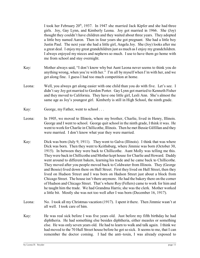I took her February  $20<sup>th</sup>$ , 1937. In 1947 she married Jack Kipfer and she had three girls. Joy, Gay Lynn, and Kimberly Leona. Joy got married in 1966. She (Joy) thought they couldn't have children and they waited about three years. They adopted a little boy named Aaron. Then in four years she got pregnant. She had a little boy Justin Paul. The next year she had a little girl, Angela Joy. She (Joy) looks after me a great deal. I enjoy my great grandchildren just as much as I enjoy my grandchildren. I always enjoyed my nieces and nephews so much. I use to have them go home with me from school and stay overnight.

- Kay: Mother always said, "I don't know why but Aunt Leona never seems to think you do anything wrong, when you're with her." I'm all by myself when I'm with her, and we get along fine. I guess I had too much competition at home.
- Leona: Well, you always get along easier with one child than you do with five. Let's see. I didn't say Joy got married to Gordon Porter. Gay Lynn got married to Kenneth Fisher and they moved to California. They have one little girl, Lesli Ann. She's almost the same age as Joy's youngest girl. Kimberly is still in High School, the ninth grade.
- Kay: George, my Father, went to school ...
- Leona: In 1905, we moved to Illinois, where my brother, Charlie, lived in Henry, Illinois. George and I went to school. George quit school in the ninth grade, I think it was. He went to work for Charlie in Chillicothe, Illinois. Then he met Bessie Gilfillan and they were married. I don't know what year they were married.
- Kay: Dick was born (July 9, 1911). They went to Galva (Illinois). I think that was where Dick was born. Then they went to Keithsburg, where Jimmie was born (October 30, 1915). In between they were back to Chillicothe. Aunt Molly was telling me this. They were back in Chillicothe and Mother kept house for Charlie and Howard. Daddy went around to different bakers, learning his trade and he came back to Chillicothe. They moved after you people moved back to Coldwater from Illinois. They (George and Bessie) lived down there on Hull Street. First they lived on Hull Street, then they lived on Hudson Street and I was born on Hudson Street just about a block from Chicago Street. The house isn't there anymore. He had the bakery there on the corner of Hudson and Chicago Street. That's where Roy (Fellers) came to work for him and he taught him the trade. We had Grandma Harris; she was the clerk. Mother worked a little bit. Mostly she was not too well after I was born (December 16, 1917).
- Leona: No. I took all my Christmas vacation (1917). I spent it there. Then Jimmie wasn't at all well. I took care of him.
- Kay: He was real sick before I was five years old. Just before my fifth birthday he had diphtheria. He had something else besides diphtheria, either measles or something else. He was only seven years old. He had to learn to walk and talk again. I think we had moved to the 70 Hull Street house before he got so sick. It seems to me, that I can remember the doctor coming. I had the anti–toxin, I was already exposed to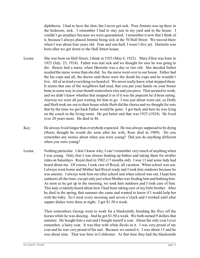diphtheria. I had to have the shot, but I never got sick. Poor Jimmie was up there in the bedroom, sick. I remember I had to stay just in my yard and in the house. I couldn't go anyplace because we were quarantined. I remember it now that I think of it, because I always placed Jimmie being sick at the 70 Hull Street. We moved there when I was about four years old. Four and one-half, I wasn't five yet. Harriette was born after we got down to the Hull Street house.

- Leona: She was born on Hull Street, I think in 1923 (May 4, 1922). Mary Ellen was born in 1925 (July 23, 1924). Father was real sick and we thought for sure he was going to die. Bessie had a nurse, when Harriette was a day or two old. She decided Father needed the nurse worse than she did. So, the nurse went over to our house. Father had the hic-cups and all, the doctor said those were the death hic-cups and he wouldn't live. All of us tried everything we heard of. We never really knew what stopped them. It seems that one of the neighbors had read, that you put your hands on your breast bone in some way in your thumb somewhere else and you press. That seemed to work, and we didn't know whether that stopped it or if it was the popcorn he'd been eating. Anyway we were all just waiting for him to go. I was just about worn out, so Dolly and Herb took me out to their house while Herb did the chores and we thought for sure that by the time we got back Father would be gone. I got back and here he was lying on the couch in the living room. He got better and that was 1925 (1924). He lived over 20 years more. He died in 46.
- Kay: He always lived longer than everybody expected. He was always supposed to be dying (Henry thought he would die soon after his wife, Rose died in 1909). Do you remember any stories about when you were young? Did you do anything different when you were young?
- Leona: Nothing particular. I don't know why, I can't remember very much of anything when I was young. Only that I was always hunting up babies and taking them for stroller rides on Saturdays. Royal died in 1902 (17 months old). I was 13 and some lady had heard about me. Of course, I took care of Royal, all vacation. When school was out, I always went home and Mother had Royal ready and I took him outdoors because he was anemic. I always took him out after school and when school was out, I kept him outdoors all the time; except only just when Mother was feeding him and bathing him. As soon as he got up in the morning, we took him outdoors and I took care of him. This lady evidently heard about how I had been taking care of my little brother. After he died in the spring, that summer she came and wanted to know if I would help her with the baby. So I went every morning and seven o'clock and I worked until after supper dishes were done at night. I got \$1.50 a week.

Then somewhere George went to work for a blacksmith, brushing the flies off the horses while he was shoeing. And he got \$1.50 a week. We both earned 9 dollars that summer. He bought him a suit and I bought myself a coat. About the only coat I ever remember, a hairy coat. It was blue with white flecks in it. I was very proud of my coat and he was very proud of his suit. Because we earned it. I was about 13 and he was about nine. That was here in Coldwater. At that time they had the blacksmith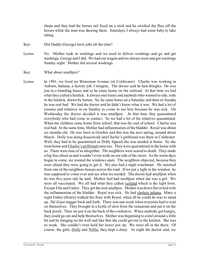shops and they had the horses tail fixed on a stick and he swished the flies off the horses while the man was shoeing them. Saturdays I always had some baby to take riding.

- Kay: Did Daddy (George) have jobs all the time?
- Leona: No. Mother took in washings and we used to deliver washings and go and get washings, George and I did. We had our wagon and we always went and got washings Sunday night. Mother did several washings.
- Kay: What about smallpox?
- Leona: In 1901, we lived on Waterman Avenue (in Coldwater). Charlie was working in Auburn, Indiana, a factory job, I imagine. The doctor said he had shingles. He was just in a boarding house and so he came home on the railroad. At that time we had what they called a herdick. It always met trains and anybody who wanted to ride, rode in the herdick, drawn by horses. So, he came home on a Saturday and then on Sunday he was real bad. We had the doctor and he didn't know what it was. We had a lot of cousins and relatives in on Sunday to come to see him because he was sick. On Wednesday the doctor decided it was smallpox. At that time they quarantined everybody who had come in contact. So we had a lot of the relatives quarantined. When the children came home from school, that was the end of school. Charlie was real bad. At the same time, Mother had inflammation of the bladder. Royal was about six months old. He was born in October and this was the next spring, around about March. Dolly was doing housework and Charlie's girlfriend was there in Coldwater. Well, they had to be quarantined so Dolly figured she was needed at home. So she went home and Charlie's girlfriend came too. They were quarantined in the home with us. There were nine of us altogether. The neighbors were scared to death. They made a big fuss about us and wouldn't even walk on our side of the street. As the warm days began to come, we wanted the windows open. The neighbors objected, because they were afraid they were going to get it. We also had a night watchman. He watched from one of the neighbors houses across the road. If we put a light in the window, he was supposed to come over and see what we needed. The doctor had smallpox when he was five years old, he said. Mother had had smallpox when she was a girl. We were all vaccinated. We all had what they called veriloid which is the light form. Except Ella and Father. They got the real smallpox. Mother was down flat in bed with the inflammation of the bladder. Royal was sick. He had cholera infanta. Many a night Father (Henry) walked the floor with Royal, when all he could do was to stand up. He'd just stagger back and forth. There was one week when everyone had to wait on themselves. They brought in a kettle of stew from the restaurant and put it on the back porch. Then we put it on the back of the cookstove. When anybody got hungry, they could go out and help themselves. Mother was beginning to crawl around a little bit and by hanging on the wall and like that she could get out to the kitchen. She was so weak. She couldn't even hold her lower jaw up. We were all in the there. Of course, the girls, Dolly and Nellie, they kept a diary. At night the doctor said, we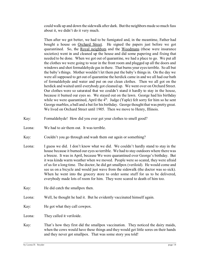could walk up and down the sidewalk after dark. But the neighbors made so much fuss about it, we didn't do it very much.

Then after we got better, we had to be fumigated and, in the meantime, Father had bought a house on Orchard Street. He signed the papers just before we got quarantined. So, the Royal neighbors and the Woodmans (these were insurance societies) went in and cleaned up the house and did some papering and fixing that needed to be done. When we got out of quarantine, we had a place to go. We put all the clothes we were going to wear in the front room and plugged up all the doors and windows and shot formaldehyde gas in there. That burns your eyes terrible. So all but the baby's things. Mother wouldn't let them put the baby's things in. On the day we were all supposed to get out of quarantine the herdick came in and we all had our bath of formaldehyde and water and put on our clean clothes. Then we all got on the herdick and waited until everybody got cleaned up. We went over on Orchard Street. Our clothes were so saturated that we couldn't stand it hardly to stay in the house, because it burned our eyes so. We stayed out on the lawn. George had his birthday while we were quarantined, April the  $4<sup>th</sup>$ . Judge (Yaple) felt sorry for him so he sent George marbles, a ball and a bat for his birthday. George thought that was pretty great. We lived on Orchard Street until 1905. Then we move to Henry, Illinois.

- Kay: Formaldehyde! How did you ever get your clothes to smell good?
- Leona: We had to air them out. It was terrible.
- Kay: Couldn't you go through and wash them out again or something?
- Leona: I guess we did. I don't know what we did. We couldn't hardly stand to stay in the house because it burned our eyes so terrible. We had to stay outdoors where there was a breeze. It was in April, because We were quarantined over George's birthday. But it was kinda warm weather when we moved. People were so scared, they were afraid of us for a long time. The doctor, he did get smallpox (veriloid). He would come and see us on a bicycle and would just wave from the sidewalk (the doctor was so sick). When he went into the grocery store to order some stuff for us to be delivered, everybody made lots of room for him. They were scared to death of him too.
- Kay: He did catch the smallpox then.
- Leona: Well, he thought he had it. But he evidently vaccinated himself again.
- Kay: He got what they call cowpox.

Leona: They called it veriloide.

Kay: That's how they first did the smallpox vaccination. They noticed the dairy maids, when the cows would have these things and they would get little sores on their hands and they never got smallpox. That was some story you told!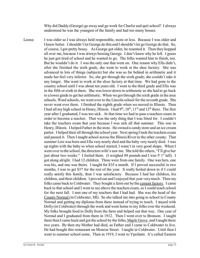Why did Daddy (George) go away and go work for Charlie and quit school? I always understood he was the youngest of the family and had too many bosses.

Leona: I was older so I was always held responsible, more or less. Because I was older and I knew better. I shouldn't let George do this and I shouldn't let go George do that. So, of course, I got pretty bossy. As George got older, he resented it. Then they hopped all over me, because I was always bossing George. I don't know why he left. I guess he just got tired of school and he wanted to go. The folks wanted him to finish, too. But he wouldn't do it. I was the only one that went on. One reason why Ella didn't, after she finished the sixth grade, she went to work at the shoe factory. She was advanced in lots of things (subjects) but she was so far behind in arithmetic and it made her feel very inferior. So, she got through the sixth grade; she couldn't take it any longer. She went to work at the shoe factory at that time. We had gone to the country school until I was about ten years old. I went to the third grade and Ella was in the fifth or sixth in there. She was lower down in arithmetic so she had to go back to a lower grade to get her arithmetic. When we got through the sixth grade in the area schools, Ward schools, we went over to the Lincoln school for the seventh grade. She never went over there. I finished the eighth grade when we moved to Illinois. Then I had all my high school in Henry, Illinois. I had  $9<sup>th</sup>$ ,  $10<sup>th</sup>$ ,  $11<sup>th</sup>$  and  $12<sup>th</sup>$  there. The first year after I graduated, I was too sick. At that time we had to pass a teachers exam in order to become a teacher. That was the only thing that I was fitted for. I couldn't take the teachers exam that year because I was sick all that summer. This was in Henry, Illinois. I helped Father in the store. He owned a candy store and an ice cream parlor. I helped their all through the school year. Next spring I took the teachers exam and passed it. Then I taught school across the Illinois River in the other county. That summer Lois was born and Ella very nearly died and the baby very nearly died. I was up nights with the baby so when school started, I wasn't in very good shape. When I went over to the school, the directors wife's saw me. She told the others, "I'll give her just about two weeks." I fooled them. (I weighed 89 pounds and I was 5' 1" tall). I got along alright. I had 12 children. Three were from one family. One was hers, one was his, and one was theirs. I taught for \$35 a month. If I proved successful in two months, I was to get \$37 for the rest of the year. It really boiled down to if I could really satisfy this family, then I was satisfactory. Because I had her children, his children, and their children. I proved out and I enjoyed that year very much. Then my folks came back to Coldwater. They bought a farm out by the cement factory. I came back to that school and I went to see above the teachers exam, so I could teach school for the next fall. I met one of my teachers that I had had. She was the head of the County Normal (in Coldwater, MI). So she talked me into going to school to County Normal and getting my diploma from there instead of trying to teach. I stayed with Dolly (in Coldwater) through the week and went home to my folks over the weekend. My folks brought food to Dolly from the farm and helped out that way. One year of Normal and I graduated from there in 1912. Then I went over to Bronson. I taught there then I came back and got the school by the folks, Maple Grove, and I taught there two years. By then my Mother had died, so Father and I came to Coldwater to live. He had bought this restaurant on Monroe Street. I taught in Coldwater. Until then I went to summer school some. Then in 1919, I went to Ypsilanti. It's called Eastern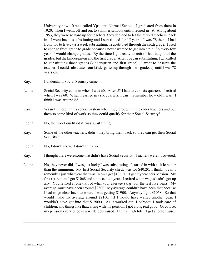University now. It was called Ypsilanti Normal School. I graduated from there in 1920. Then I went, off and on, to summer schools until I retired in 49. Along about 1953, they were so hard up for teachers, they decided to let the retired teachers, back in. I went back to substituting and I substituted for 15 years. I was 78 then. I had from two to five days a week substituting. I substituted through the sixth grade. I used to change from grade to grade because I never wanted to get into a rut. So every few years I would change grades. By the time I got ready to retire I had taught all the grades, but the kindergarten and the first grade. After I began substituting, I got called to substituting those grades (kindergarten and first grade). I went to observe the teacher. I could substitute from kindergarten up through sixth grade, up until I was 78 years old.

- Kay: I understand Social Security came in.
- Leona: Social Security came in when I was 60. After 55 I had to earn six quarters. I retired when I was 60. When I earned my six quarters, I can't remember how old I was. I think I was around 68.
- Kay: Wasn't it here in this school system when they brought in the older teachers and put them to some kind of work so they could qualify for their Social Security?
- Leona: No, the way I qualified it was substituting.
- Kay: Some of the other teachers, didn't they bring them back so they can get their Social Security?
- Leona: No, I don't know. I don't think so.
- Kay: I thought there were some that didn't have Social Security. Teachers weren't covered.
- Leona: No, they never did. I was just lucky I was substituting. I started in with a little better than the minimum. My first Social Security check was for \$40.20, I think. I can't remember just what year that was. Now I get \$106.60. I get my teachers pension. My first retirement I got \$1068 and some cents a year. I retired when wages hadn't got up any. You retired at one-half of what your average salary for the last five years. My average must have been around \$2300. My average couldn't have been that because I had to go clear back to where I was getting \$1900. Anyway I got \$1068. So that would make my average around \$2100. If I would have waited another year, I wouldn't have got into that \$1900's. As it worked out, I babysat, I took care of children, and things like that, along with my pension, I got along real good. Of course, my pension every once in a while gets raised. I think in October I get another raise.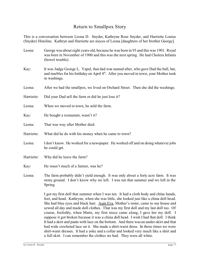#### Return to Smallpox Story

This is a conversation between Leona D. Snyder, Kathryne Rose Snyder, and Harriette Louisa (Snyder) Hineline. Kathryn and Harriette are nieces of Leona [daughters of her brother George].

- Leona: George was about eight years old, because he was born in 93 and this was 1901. Royal was born in November of 1900 and this was the next spring. He had Cholera Infanta (bowel trouble).
- Kay: It was Judge George L. Yapel, that dad was named after, who gave Dad the ball, bat, and marbles for his birthday on April  $4<sup>th</sup>$ . After you moved in town, your Mother took in washings.
- Leona: After we had the smallpox, we lived on Orchard Street. Then she did the washings.
- Harriette: Did your Dad sell the farm or did he just lose it?
- Leona: When we moved to town, he sold the farm.
- Kay: He bought a restaurant, wasn't it?
- Leona: That was way after Mother died.
- Harriette: What did he do with his money when he came to town?
- Leona: I don't know. He worked for a newspaper. He worked off and on doing whatever jobs he could get.
- Harriette: Why did he leave the farm?
- Kay: He wasn't much of a farmer, was he?
- Leona: The farm probably didn't yield enough. It was only about a forty acre farm. It was stony ground. I don't know why we left. I was ten that summer and we left in the Spring.

I got my first doll that summer when I was ten. It had a cloth body and china hands, feet, and head. Kathryne, when she was little, she looked just like a china doll head. She had blue eyes and black hair. Aunt Eva, Mother's sister, came to our house and sewed all day and made doll clothes. That was my first doll and my last doll too. Of course, foolishly, when Marie, my first niece came along, I gave her my doll. I suppose it got broken because it was a china doll head. I wish I had that doll. I think It had a skirt and pants with lace on the bottom. And there was an under-skirt and that had wide crocheted lace on it. She made a shirt-waist dress. In those times we wore shirt-waist dresses. It had a yoke and a collar and looked very much like a shirt and a full skirt. I can remember the clothes we had. They were all white.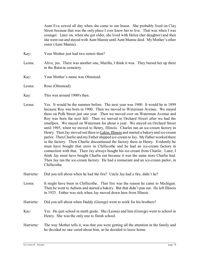Aunt Eva sewed all day when she came to our house. She probably lived on Clay Street because that was the only place I ever knew her to live. That was when I was younger. Later on, when she got older, she lived with Helen (her daughter) and then she went out and stayed with Aunt Mamie until Aunt Mamie died. My Mother's other sister (Aunt Mamie).

- Kay: Your Mother just had two sisters then?
- Leona: Alive, yes. There was another one, Marilla, I think it was. They buried her up there in the Batavia cemetery.
- Kay: Your Mother's name was Olmstead.
- Leona: Rose (Olmstead).
- Kay: This was around 1900's then.
- Leona: Yes. It would be the summer before. The next year was 1900. It would be in 1899 because Roy was born in 1900. Then we moved to Waterman Avenue. We stayed there on Polk Street just one year. Then we moved over on Waterman Avenue and Roy was born the next fall. Then we moved to Orchard Street after we had the smallpox. We stayed on Waterman for about a year. We stayed on Orchard Street until 1905, when we moved to Henry, Illinois. Charles ran an ice-cream factory in Henry. Then Jay moved out there to Lakin, Illinois and started a bakery and ice-cream parlor. Then Charlie and my Father shipped ice-cream to Jay. My Father worked there in the factory. Then Charlie discontinued the factory there in Henry. Evidently he must have bought that store in Chillicothe and he had an ice-cream factory in connection with that. Then Jay always bought his ice-cream from Charlie. Later, I think Jay must have bought Charlie out because it was the same store Charlie had. Then Jay ran the ice-cream factory. He had a restaurant and an ice-cream parlor, in Chillicothe.
- Harriette: Did you tell about when he had the fire? Uncle Jay had a fire, didn't he?
- Leona: It might have been in Chillicothe. That fire was the reason he came to Michigan. Then he went to Auburn and started a bakery. But that didn't pan out. He left Illinois in 1925. Father was sick when Jay moved down here from Illinois.
- Harriette: Did you tell about when Daddy (George) went to work for his brothers?
- Kay: Yes. He quit school in ninth grade. She (Leona) and him (George) went to school in Henry. She was the only one to finish school.
- Harriette: The way Mother tells it, was that you were getting all the attention in the family and he decided no one cared about him, so he decided to leave home.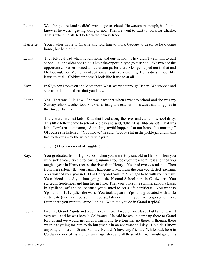- Leona: Well, he got tired and he didn't want to go to school. He was smart enough, but I don't know if he wasn't getting along or not. Then he went to start to work for Charlie. That's where he started to learn the bakery trade.
- Harriette: Your Father wrote to Charlie and told him to work George to death so he'd come home, but he didn't.
- Leona: They felt real bad when he left home and quit school. They didn't want him to quit school. All the older ones didn't have the opportunity to go to school. We two had the opportunity. Father owned an ice-cream parlor then. George helped out in that and I helped out, too. Mother went up there almost every evening. Henry doesn't look like it use to at all. Coldwater doesn't look like it use to at all.
- Kay: In 67, when I took you and Mother out West, we went through Henry. We stopped and saw an old couple there that you knew.
- Leona: Yes. That was Lula Law. She was a teacher when I went to school and she was my Sunday school teacher too. She was a first grade teacher. This was a standing joke in the Snyder Family:

There were river rat kids. Kids that lived along the river and came to school dirty. This little fellow came to school one day and said, "Oh! Miss Hildebrand! (That was Mrs. Law's maiden name). Something awful happened at our house this morning." Of course she listened. "You know," he said, "Bobby shit in the pickle jar and mama had to throw away the whole first layer."

- . . (After a moment of laughter) . .
- Kay: You graduated from High School when you were 20 years old in Henry. Then you were sick a year. So the following summer you took your teacher's test and then you taught a year in Henry (across the river from Henry). You had twelve students. Then from there (Henry IL) your family had gone to Michigan the year you started teaching. You finished your year in 1911 in Henry and came to Michigan to be with your family. Your friend talked you into going to the Normal School here in Coldwater. You started in September and finished in June. Then you took some summer school classes in Ypsilanti, off and on, because you wanted to get a life certificate. You went to Ypsilanti in 1919 (after the war). You took a year in Ypsi and graduated with a life certificate (two year course). Of course, later on in life, you had to go some more. From there you went to Grand Rapids. What did you do in Grand Rapids?
- Leona: I went to Grand Rapids and taught a year there. I would have stayed but Father wasn't very well and he was here in Coldwater. He said he would come up there to Grand Rapids and we would get an apartment and live together up there. I thought there wasn't anything for him to do but just sit in an apartment all day. He didn't know anybody up there in Grand Rapids. He didn't have any friends. While back here in Coldwater, one of his friends ran a cigar store and all these older men would go to this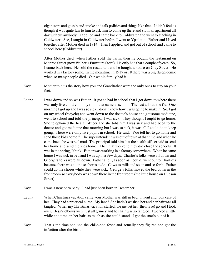cigar store and gossip and smoke and talk politics and things like that. I didn't feel as though it was quite fair to him to ask him to come up there and sit in an apartment all day without anybody. I applied and came back to Coldwater and went to teaching in Coldwater. See, I taught in Coldwater before I went to Ypsilanti. Father and I lived together after Mother died in 1914. Then I applied and got out of school and came to school here (Coldwater).

After Mother died, when Father sold the farm, then he bought the restaurant on Monroe Street (now Wilber's Furniture Store). He only had that a couple of years. So, I came back here. He sold the restaurant and he bought a house on Clay Street. He worked in a factory some. In the meantime in 1917 or 18 there was a big flu epidemic when so many people died. Our whole family had it.

- Kay: Mother told us the story how you and Grandfather were the only ones to stay on your feet.
- Leona: I was down and so was Father. It got so bad in school that I got down to where there was only five children in my room that came to school. The rest all had the flu. One morning I got up and I was so sick I didn't know how I was going to make it. So, I got on my wheel (bicycle) and went down to the doctor's house and got some medicine, went to school and told the principal I was sick. They thought I ought to go home. She telephoned the health officer and she told him I was sick and had been to the doctor and got medicine that morning but I was so sick, it was all I could do to keep going. There were only five pupils in school. He said, "You tell her to go home and send those kids home!" The superintendent was out of town at that time and when he came back, he was real mad. The principal told him that the health officer said to send her home and send the kids home. Then that weekend they did close the schools. It was in the spring, I think. Father was working in a factory somewhere. When he came home I was sick in bed and I was up in a few days. Charlie's folks were all down and George's folks were all down. Father and I, as soon as I could, went out to Charlie's because there was all those chores to do. Cows to milk and so on and so forth. Father could do the chores while they were sick. George's folks moved the bed down in the front room so everybody was down there in the front room (the little house on Hudson Street).
- Kay: I was a new born baby. I had just been born in December.
- Leona: When Christmas vacation came your Mother was still in bed. I went and took care of her. They had a practical nurse. My land! She hadn't washed her and her hair was all tangled. When my Christmas vacation started, we just let her (the nurse) go and I took over. Bess's elbows were just all grimey and her hair was so tangled. I worked a little while at a time on her hair, as much as she could stand. I got the snarls out of it.
- Kay: That's the time she had the child-bed fever and actually they figured she got the infection after the birth.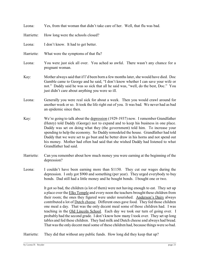| Leona:     | Yes, from that woman that didn't take care of her. Well, that flu was bad.                                                                                                                                                                                                                                                                                                                                                                                                                                                                                                                                                                                                                                                                                                                           |
|------------|------------------------------------------------------------------------------------------------------------------------------------------------------------------------------------------------------------------------------------------------------------------------------------------------------------------------------------------------------------------------------------------------------------------------------------------------------------------------------------------------------------------------------------------------------------------------------------------------------------------------------------------------------------------------------------------------------------------------------------------------------------------------------------------------------|
| Harriette: | How long were the schools closed?                                                                                                                                                                                                                                                                                                                                                                                                                                                                                                                                                                                                                                                                                                                                                                    |
| Leona:     | I don't know. It had to get better.                                                                                                                                                                                                                                                                                                                                                                                                                                                                                                                                                                                                                                                                                                                                                                  |
| Harriette: | What were the symptoms of that flu?                                                                                                                                                                                                                                                                                                                                                                                                                                                                                                                                                                                                                                                                                                                                                                  |
| Leona:     | You were just sick all over. You ached so awful. There wasn't any chance for a<br>pregnant woman.                                                                                                                                                                                                                                                                                                                                                                                                                                                                                                                                                                                                                                                                                                    |
| Kay:       | Mother always said that if I'd been born a few months later, she would have died. Doc<br>Gamble came to George and he said, "I don't know whether I can save your wife or<br>not." Daddy said he was so sick that all he said was, "well, do the best, Doc." You<br>just didn't care about anything you were so ill.                                                                                                                                                                                                                                                                                                                                                                                                                                                                                 |
| Leona:     | Generally you were real sick for about a week. Then you would crawl around for<br>another week or so. It took the life right out of you. It was bad. We never had as bad<br>an epidemic since then.                                                                                                                                                                                                                                                                                                                                                                                                                                                                                                                                                                                                  |
| Kay:       | We're going to talk about the depression (1929-1937) now. I remember Grandfather<br>(Henry) told Daddy (George) not to expand and to keep his business in one place.<br>Daddy was set on doing what they (the government) told him. To increase your<br>spending to help the economy. So Daddy remodeled the house. Grandfather had told<br>Daddy that we were set to go bust and he better draw in his horns and not spend out<br>his money. Mother had often had said that she wished Daddy had listened to what<br>Grandfather had said.                                                                                                                                                                                                                                                          |
| Harriette: | Can you remember about how much money you were earning at the beginning of the<br>depression?                                                                                                                                                                                                                                                                                                                                                                                                                                                                                                                                                                                                                                                                                                        |
| Leona:     | I couldn't have been earning more than \$1150. They cut our wages during the<br>depression. I only got \$900 and something (per year). They urged everybody to buy<br>bonds. Dad still had a little money and he bought bonds. I bought one or two.                                                                                                                                                                                                                                                                                                                                                                                                                                                                                                                                                  |
|            | It got so bad, the children (a lot of them) were not having enough to eat. They set up<br>a place over the Elks Temple and every noon the teachers brought these children from<br>their room; the ones they figured were under nourished. Anderson's Dairy always<br>contributed a lot of Dutch cheese. Different ones gave food. They fed those children<br>one meal a day. That was the only decent meal some of those children had. I was<br>teaching in the Old Lincoln School. Each day we took our turn of going over. I<br>probably had the second grade. I don't know how many I took over. They set up long<br>tables and fed these children. They had milk and Dutch cheese and always had bread.<br>That was the only decent meal some of these children had, because things were so bad. |

Harriette: They did that without any public funds. How long did they keep that up?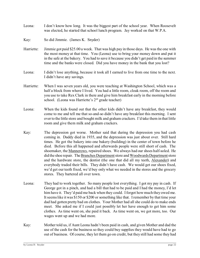- Leona: I don't know how long. It was the biggest part of the school year. When Roosevelt was elected, he started that school lunch program. Jay worked on that W.P.A.
- Kay: So did Jimmie. (James K. Snyder)
- Harriette: Jimmie got paid \$25.00 a week. That was high pay in those days. He was the one with the most money at that time. You (Leona) use to bring your money down and put it in the safe at the bakery. You had to save it because you didn't get paid in the summer time and the banks were closed. Did you have money in the bank that you lost?
- Leona: I didn't lose anything, because it took all I earned to live from one time to the next. I didn't have any savings.
- Harriette: When I was seven years old, you were teaching at Washington School, which was a half a block from where I lived. You had a little room, cloak room, off the room and you use to take Rex Clark in there and give him breakfast early in the morning before school. (Leona was Harriette's  $2<sup>nd</sup>$  grade teacher)
- Leona: When the kids found out that the other kids didn't have any breakfast, they would come to me and tell me that so-and-so didn't have any breakfast this morning. I sent over to the little store and bought milk and graham crackers. I'd take them in that little room and give them milk and graham crackers.
- Kay: The depression got worse. Mother said that during the depression you had cash coming in. Daddy died in 1935, and the depression was just about over. Still hard times. He got the bakery into one bakery (building) in the center of town before he died. Before this all happened and afterwards people were still short of cash. The shoemaker, the Mannerows, repaired shoes. We always had our shoes half-soled. He did the shoe repair. The Branches Department store and Woodwards Department store and the hardware store, the dentist (the one that did all my teeth, Alexander) and everybody traded their bills. They didn't have cash. We would get our shoes fixed, we'd get our teeth fixed, we'd buy only what we needed in the stores and the grocery stores. They bartered all over town.
- Leona: They had to work together. So many people lost everything. I got my pay in cash. If George got in a pinch, and had a bill that had to be paid and I had the money, I'd let him have it. They'd paid me back when they could. I forgot how much they owed me. It seems like it was \$150 or \$200 or something like that. I remember by that time your dad had gotten pretty bad on clothes. Your Mother had all she could do to make ends meet. She asked me if I could just possibly let her have enough to get him some clothes. As time went on, she paid it back. As time went on, we got more, too. Our wages went up and we had more.
- Kay: Mother told us, if Aunt Leona hadn't been paid in cash, and given Mother and dad the use of the cash for the business so they could buy supplies they would have had to go out of business. Of course, they let them go on credit, but they still had some they had